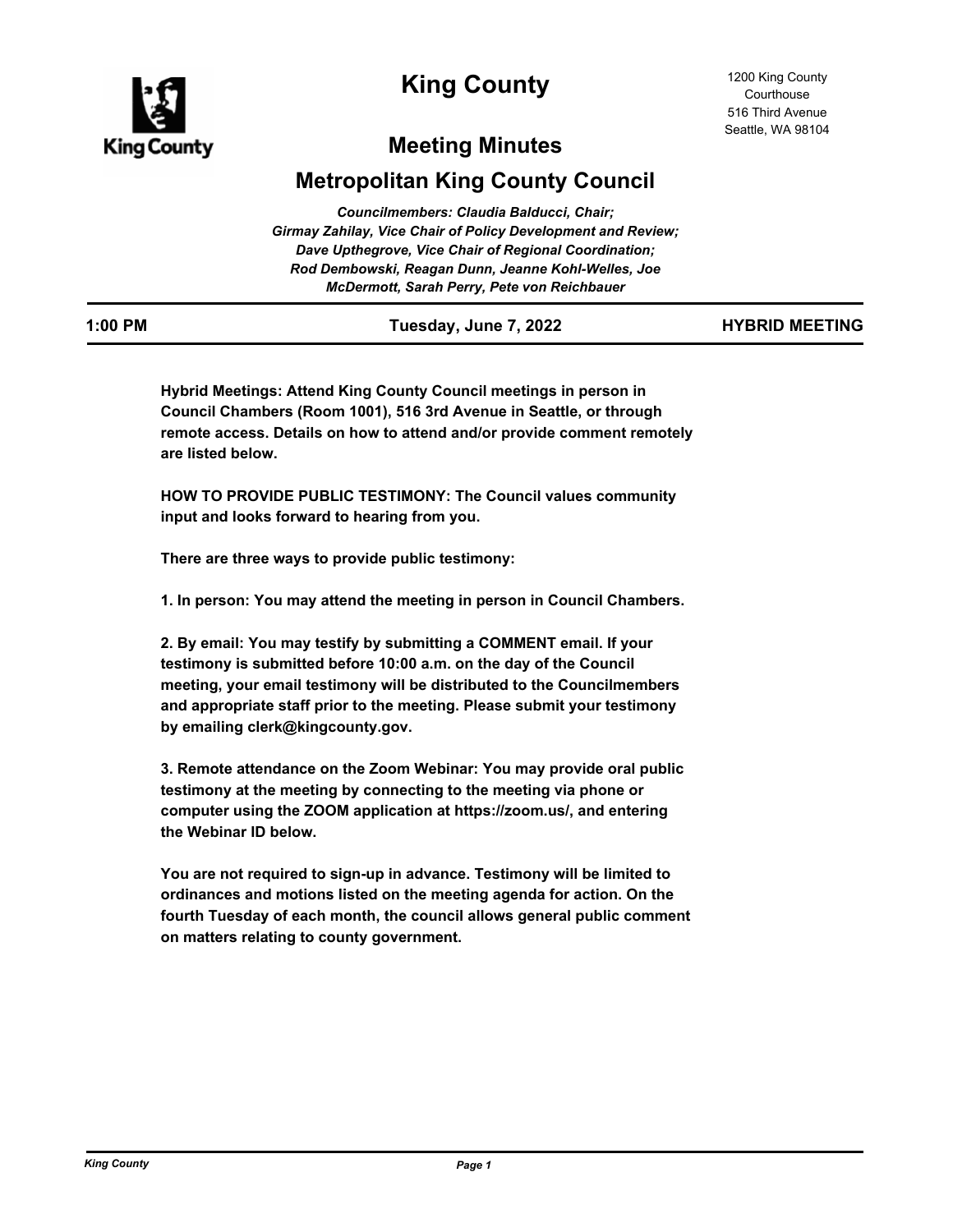

# **King County**

# **Meeting Minutes**

# **Metropolitan King County Council**

| Councilmembers: Claudia Balducci, Chair;                            |  |
|---------------------------------------------------------------------|--|
| <b>Girmay Zahilay, Vice Chair of Policy Development and Review;</b> |  |
| Dave Upthegrove, Vice Chair of Regional Coordination;               |  |
| Rod Dembowski, Reagan Dunn, Jeanne Kohl-Welles, Joe                 |  |
| McDermott, Sarah Perry, Pete von Reichbauer                         |  |
|                                                                     |  |

| $\cdots$ |  |  |  |  |
|----------|--|--|--|--|
|          |  |  |  |  |
|          |  |  |  |  |
|          |  |  |  |  |
|          |  |  |  |  |
|          |  |  |  |  |

**1:00 PM Tuesday, June 7, 2022 HYBRID MEETING**

**Hybrid Meetings: Attend King County Council meetings in person in Council Chambers (Room 1001), 516 3rd Avenue in Seattle, or through remote access. Details on how to attend and/or provide comment remotely are listed below.** 

**HOW TO PROVIDE PUBLIC TESTIMONY: The Council values community input and looks forward to hearing from you.**

**There are three ways to provide public testimony:**

**1. In person: You may attend the meeting in person in Council Chambers.**

**2. By email: You may testify by submitting a COMMENT email. If your testimony is submitted before 10:00 a.m. on the day of the Council meeting, your email testimony will be distributed to the Councilmembers and appropriate staff prior to the meeting. Please submit your testimony by emailing clerk@kingcounty.gov.**

**3. Remote attendance on the Zoom Webinar: You may provide oral public testimony at the meeting by connecting to the meeting via phone or computer using the ZOOM application at https://zoom.us/, and entering the Webinar ID below.**

**You are not required to sign-up in advance. Testimony will be limited to ordinances and motions listed on the meeting agenda for action. On the fourth Tuesday of each month, the council allows general public comment on matters relating to county government.**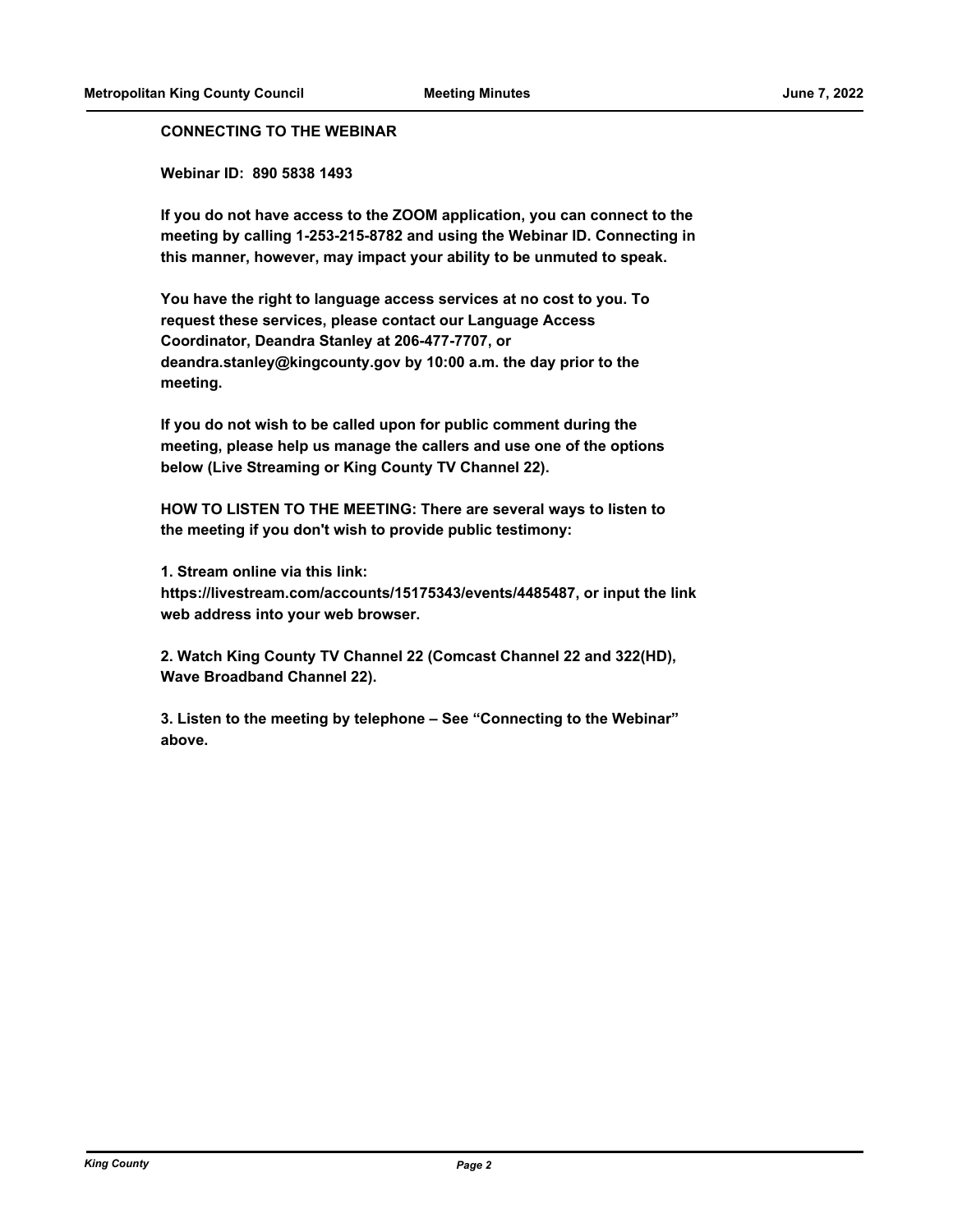## **CONNECTING TO THE WEBINAR**

**Webinar ID: 890 5838 1493**

**If you do not have access to the ZOOM application, you can connect to the meeting by calling 1-253-215-8782 and using the Webinar ID. Connecting in this manner, however, may impact your ability to be unmuted to speak.** 

**You have the right to language access services at no cost to you. To request these services, please contact our Language Access Coordinator, Deandra Stanley at 206-477-7707, or deandra.stanley@kingcounty.gov by 10:00 a.m. the day prior to the meeting.**

**If you do not wish to be called upon for public comment during the meeting, please help us manage the callers and use one of the options below (Live Streaming or King County TV Channel 22).**

**HOW TO LISTEN TO THE MEETING: There are several ways to listen to the meeting if you don't wish to provide public testimony:**

**1. Stream online via this link: https://livestream.com/accounts/15175343/events/4485487, or input the link web address into your web browser.**

**2. Watch King County TV Channel 22 (Comcast Channel 22 and 322(HD), Wave Broadband Channel 22).**

**3. Listen to the meeting by telephone – See "Connecting to the Webinar" above.**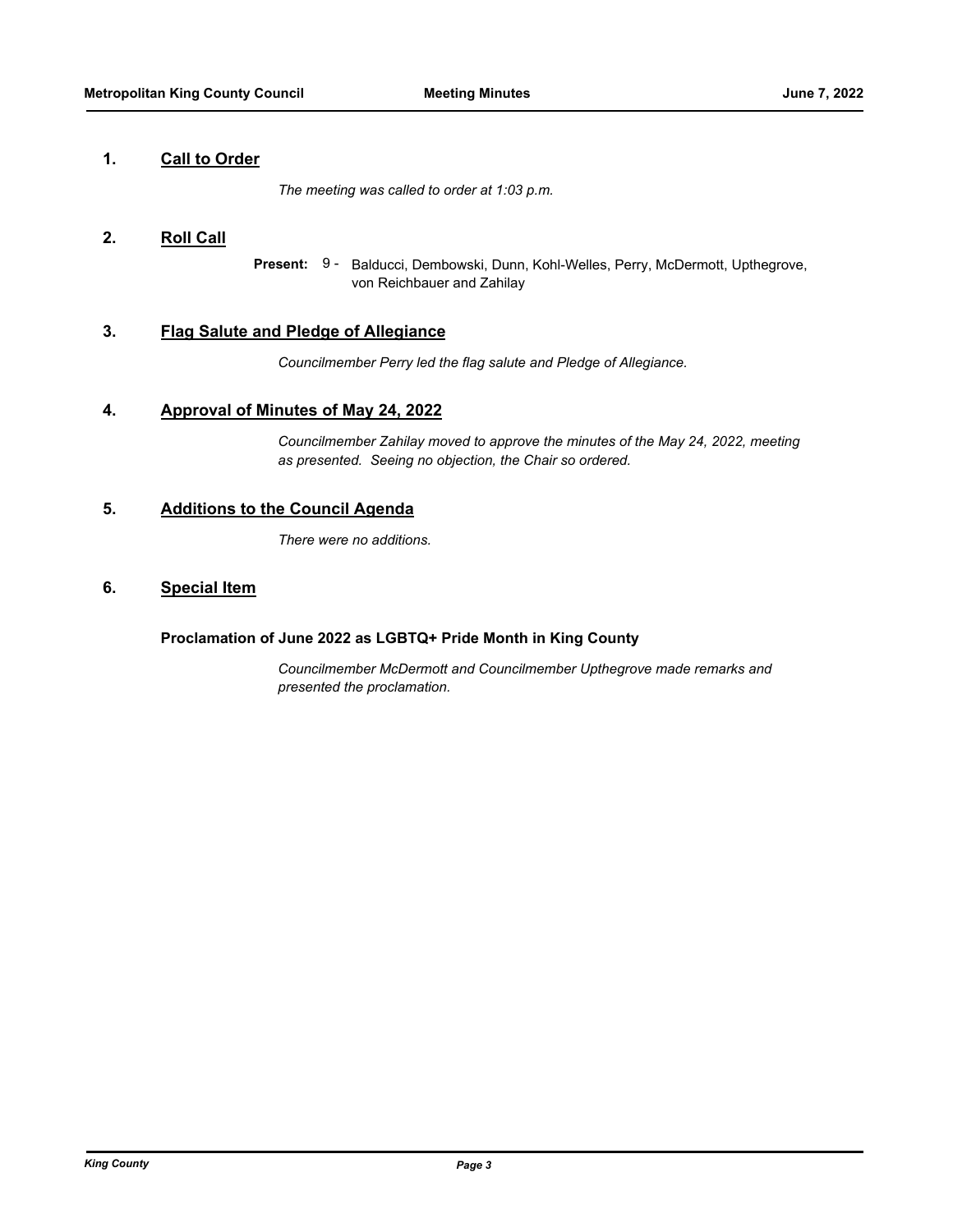## **1. Call to Order**

*The meeting was called to order at 1:03 p.m.*

## **2. Roll Call**

Present: 9 - Balducci, Dembowski, Dunn, Kohl-Welles, Perry, McDermott, Upthegrove, von Reichbauer and Zahilay

## **3. Flag Salute and Pledge of Allegiance**

*Councilmember Perry led the flag salute and Pledge of Allegiance.*

## **4. Approval of Minutes of May 24, 2022**

*Councilmember Zahilay moved to approve the minutes of the May 24, 2022, meeting as presented. Seeing no objection, the Chair so ordered.*

## **5. Additions to the Council Agenda**

*There were no additions.*

## **6. Special Item**

## **Proclamation of June 2022 as LGBTQ+ Pride Month in King County**

*Councilmember McDermott and Councilmember Upthegrove made remarks and presented the proclamation.*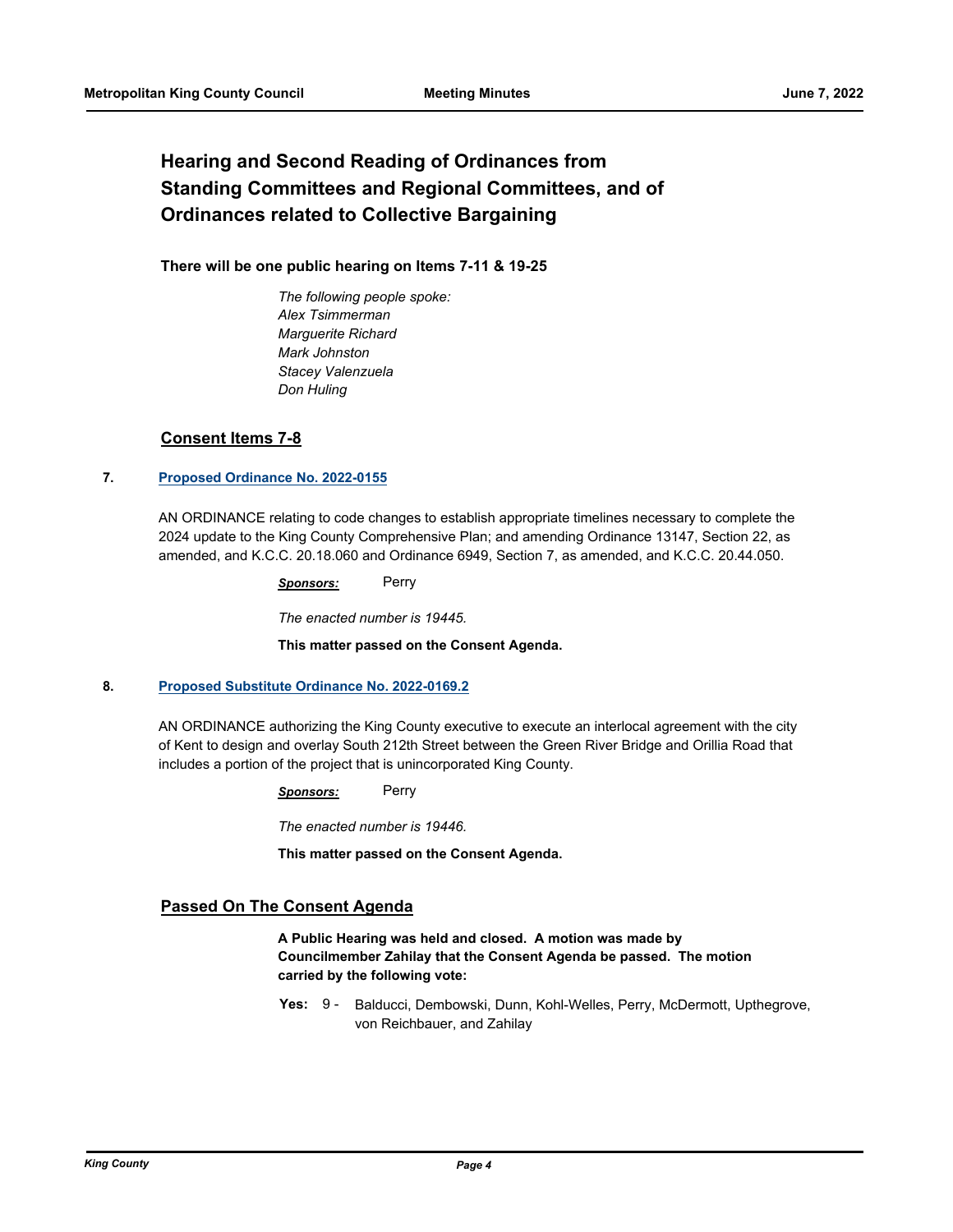# **Hearing and Second Reading of Ordinances from Standing Committees and Regional Committees, and of Ordinances related to Collective Bargaining**

## **There will be one public hearing on Items 7-11 & 19-25**

*The following people spoke: Alex Tsimmerman Marguerite Richard Mark Johnston Stacey Valenzuela Don Huling*

## **Consent Items 7-8**

## **7. [Proposed Ordinance No. 2022-0155](http://kingcounty.legistar.com/gateway.aspx?m=l&id=/matter.aspx?key=23026)**

AN ORDINANCE relating to code changes to establish appropriate timelines necessary to complete the 2024 update to the King County Comprehensive Plan; and amending Ordinance 13147, Section 22, as amended, and K.C.C. 20.18.060 and Ordinance 6949, Section 7, as amended, and K.C.C. 20.44.050.

*Sponsors:* Perry

*The enacted number is 19445.*

**This matter passed on the Consent Agenda.**

## **8. [Proposed Substitute Ordinance No. 2022-0169.2](http://kingcounty.legistar.com/gateway.aspx?m=l&id=/matter.aspx?key=23056)**

AN ORDINANCE authorizing the King County executive to execute an interlocal agreement with the city of Kent to design and overlay South 212th Street between the Green River Bridge and Orillia Road that includes a portion of the project that is unincorporated King County.

*Sponsors:* Perry

*The enacted number is 19446.*

**This matter passed on the Consent Agenda.**

## **Passed On The Consent Agenda**

**A Public Hearing was held and closed. A motion was made by Councilmember Zahilay that the Consent Agenda be passed. The motion carried by the following vote:**

Yes: 9 - Balducci, Dembowski, Dunn, Kohl-Welles, Perry, McDermott, Upthegrove, von Reichbauer, and Zahilay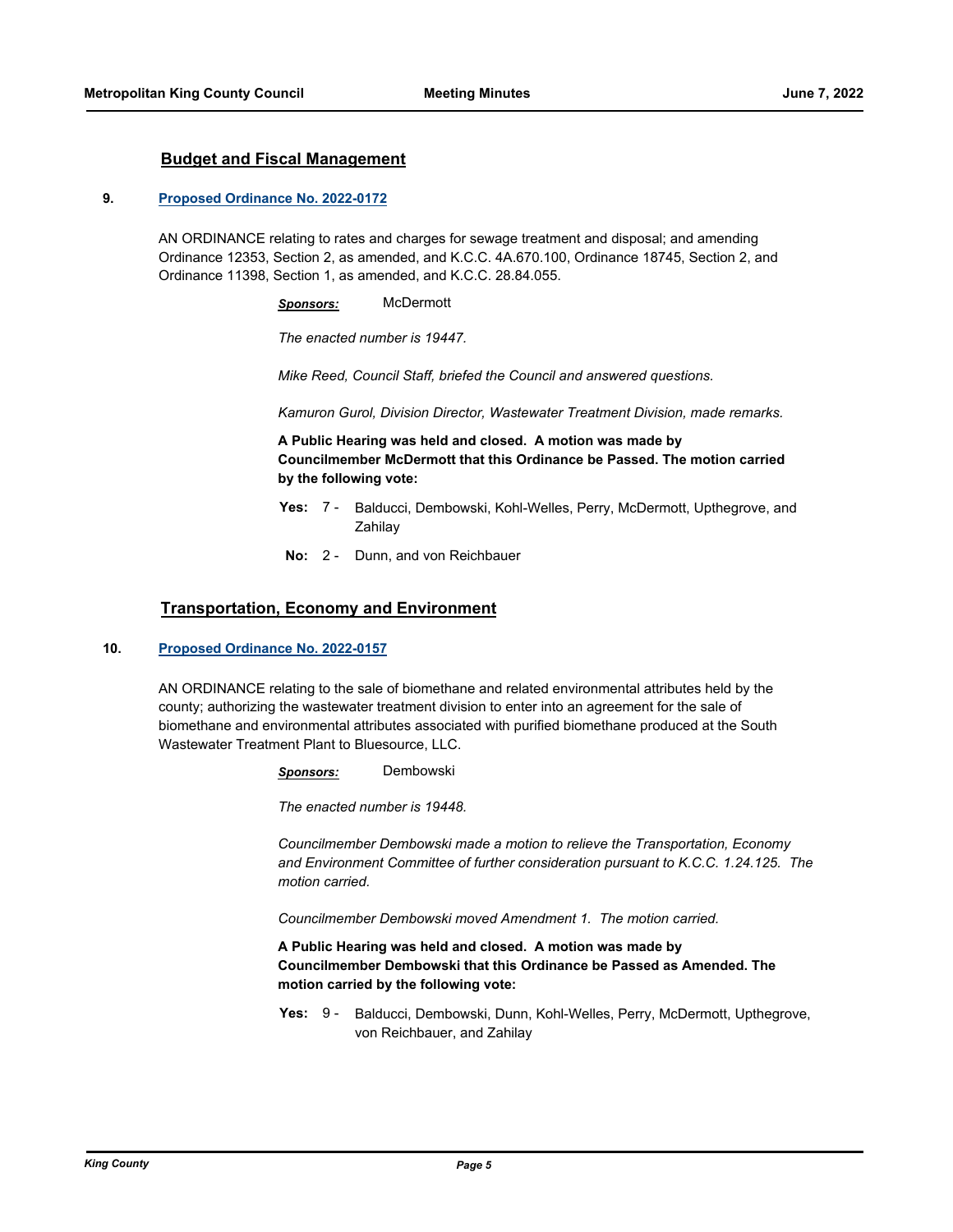## **Budget and Fiscal Management**

#### **9. [Proposed Ordinance No. 2022-0172](http://kingcounty.legistar.com/gateway.aspx?m=l&id=/matter.aspx?key=23076)**

AN ORDINANCE relating to rates and charges for sewage treatment and disposal; and amending Ordinance 12353, Section 2, as amended, and K.C.C. 4A.670.100, Ordinance 18745, Section 2, and Ordinance 11398, Section 1, as amended, and K.C.C. 28.84.055.

*Sponsors:* McDermott

*The enacted number is 19447.*

*Mike Reed, Council Staff, briefed the Council and answered questions.*

*Kamuron Gurol, Division Director, Wastewater Treatment Division, made remarks.*

**A Public Hearing was held and closed. A motion was made by Councilmember McDermott that this Ordinance be Passed. The motion carried by the following vote:**

- Yes: 7 Balducci, Dembowski, Kohl-Welles, Perry, McDermott, Upthegrove, and Zahilay
- **No:** 2 Dunn, and von Reichbauer

## **Transportation, Economy and Environment**

#### **10. [Proposed Ordinance No. 2022-0157](http://kingcounty.legistar.com/gateway.aspx?m=l&id=/matter.aspx?key=23028)**

AN ORDINANCE relating to the sale of biomethane and related environmental attributes held by the county; authorizing the wastewater treatment division to enter into an agreement for the sale of biomethane and environmental attributes associated with purified biomethane produced at the South Wastewater Treatment Plant to Bluesource, LLC.

*Sponsors:* Dembowski

*The enacted number is 19448.*

*Councilmember Dembowski made a motion to relieve the Transportation, Economy and Environment Committee of further consideration pursuant to K.C.C. 1.24.125. The motion carried.*

*Councilmember Dembowski moved Amendment 1. The motion carried.*

**A Public Hearing was held and closed. A motion was made by Councilmember Dembowski that this Ordinance be Passed as Amended. The motion carried by the following vote:**

**Yes:** Balducci, Dembowski, Dunn, Kohl-Welles, Perry, McDermott, Upthegrove, von Reichbauer, and Zahilay Yes:  $9 -$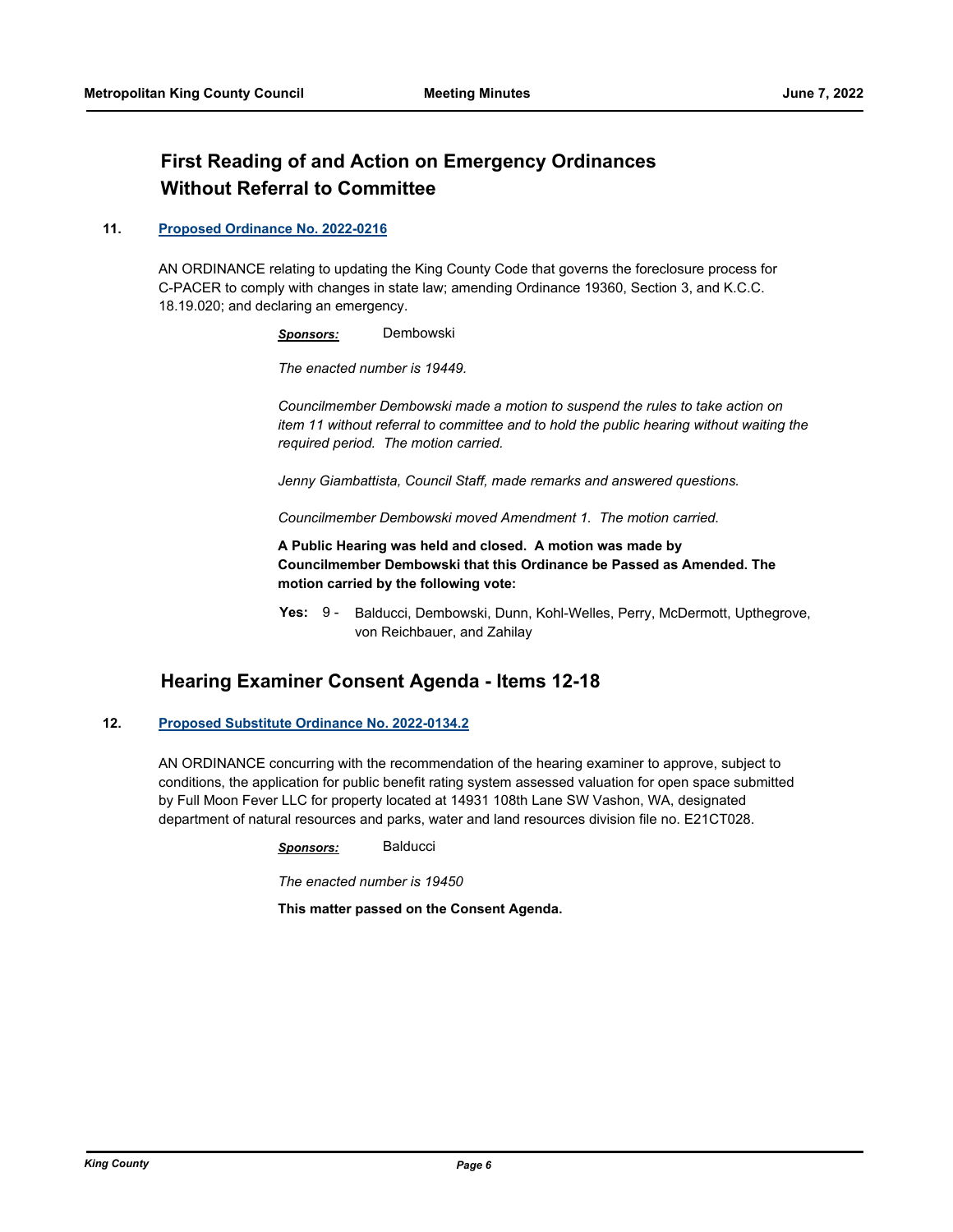# **First Reading of and Action on Emergency Ordinances Without Referral to Committee**

## **11. [Proposed Ordinance No. 2022-0216](http://kingcounty.legistar.com/gateway.aspx?m=l&id=/matter.aspx?key=23155)**

AN ORDINANCE relating to updating the King County Code that governs the foreclosure process for C-PACER to comply with changes in state law; amending Ordinance 19360, Section 3, and K.C.C. 18.19.020; and declaring an emergency.

*Sponsors:* Dembowski

*The enacted number is 19449.*

*Councilmember Dembowski made a motion to suspend the rules to take action on item 11 without referral to committee and to hold the public hearing without waiting the required period. The motion carried.*

*Jenny Giambattista, Council Staff, made remarks and answered questions.*

*Councilmember Dembowski moved Amendment 1. The motion carried.*

**A Public Hearing was held and closed. A motion was made by Councilmember Dembowski that this Ordinance be Passed as Amended. The motion carried by the following vote:**

Yes: 9 - Balducci, Dembowski, Dunn, Kohl-Welles, Perry, McDermott, Upthegrove, von Reichbauer, and Zahilay

# **Hearing Examiner Consent Agenda - Items 12-18**

## **12. [Proposed Substitute Ordinance No. 2022-0134.2](http://kingcounty.legistar.com/gateway.aspx?m=l&id=/matter.aspx?key=22982)**

AN ORDINANCE concurring with the recommendation of the hearing examiner to approve, subject to conditions, the application for public benefit rating system assessed valuation for open space submitted by Full Moon Fever LLC for property located at 14931 108th Lane SW Vashon, WA, designated department of natural resources and parks, water and land resources division file no. E21CT028.

*Sponsors:* Balducci

*The enacted number is 19450*

**This matter passed on the Consent Agenda.**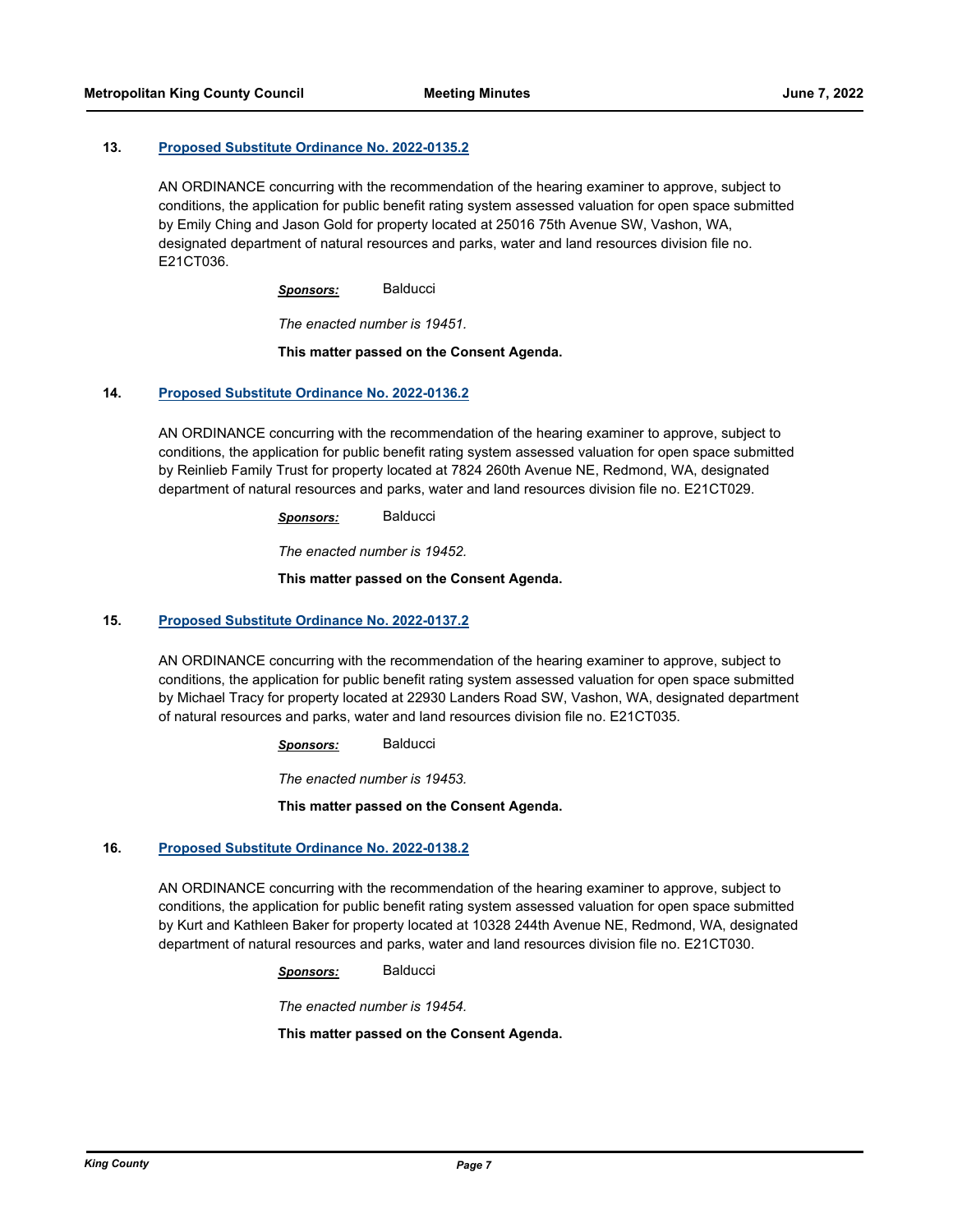### **13. [Proposed Substitute Ordinance No. 2022-0135.2](http://kingcounty.legistar.com/gateway.aspx?m=l&id=/matter.aspx?key=22983)**

AN ORDINANCE concurring with the recommendation of the hearing examiner to approve, subject to conditions, the application for public benefit rating system assessed valuation for open space submitted by Emily Ching and Jason Gold for property located at 25016 75th Avenue SW, Vashon, WA, designated department of natural resources and parks, water and land resources division file no. E21CT036.

*Sponsors:* Balducci

*The enacted number is 19451.*

### **This matter passed on the Consent Agenda.**

## **14. [Proposed Substitute Ordinance No. 2022-0136.2](http://kingcounty.legistar.com/gateway.aspx?m=l&id=/matter.aspx?key=22984)**

AN ORDINANCE concurring with the recommendation of the hearing examiner to approve, subject to conditions, the application for public benefit rating system assessed valuation for open space submitted by Reinlieb Family Trust for property located at 7824 260th Avenue NE, Redmond, WA, designated department of natural resources and parks, water and land resources division file no. E21CT029.

*Sponsors:* Balducci

*The enacted number is 19452.*

### **This matter passed on the Consent Agenda.**

#### **15. [Proposed Substitute Ordinance No. 2022-0137.2](http://kingcounty.legistar.com/gateway.aspx?m=l&id=/matter.aspx?key=22985)**

AN ORDINANCE concurring with the recommendation of the hearing examiner to approve, subject to conditions, the application for public benefit rating system assessed valuation for open space submitted by Michael Tracy for property located at 22930 Landers Road SW, Vashon, WA, designated department of natural resources and parks, water and land resources division file no. E21CT035.

*Sponsors:* Balducci

*The enacted number is 19453.*

#### **This matter passed on the Consent Agenda.**

## **16. [Proposed Substitute Ordinance No. 2022-0138.2](http://kingcounty.legistar.com/gateway.aspx?m=l&id=/matter.aspx?key=22987)**

AN ORDINANCE concurring with the recommendation of the hearing examiner to approve, subject to conditions, the application for public benefit rating system assessed valuation for open space submitted by Kurt and Kathleen Baker for property located at 10328 244th Avenue NE, Redmond, WA, designated department of natural resources and parks, water and land resources division file no. E21CT030.

*Sponsors:* Balducci

*The enacted number is 19454.*

**This matter passed on the Consent Agenda.**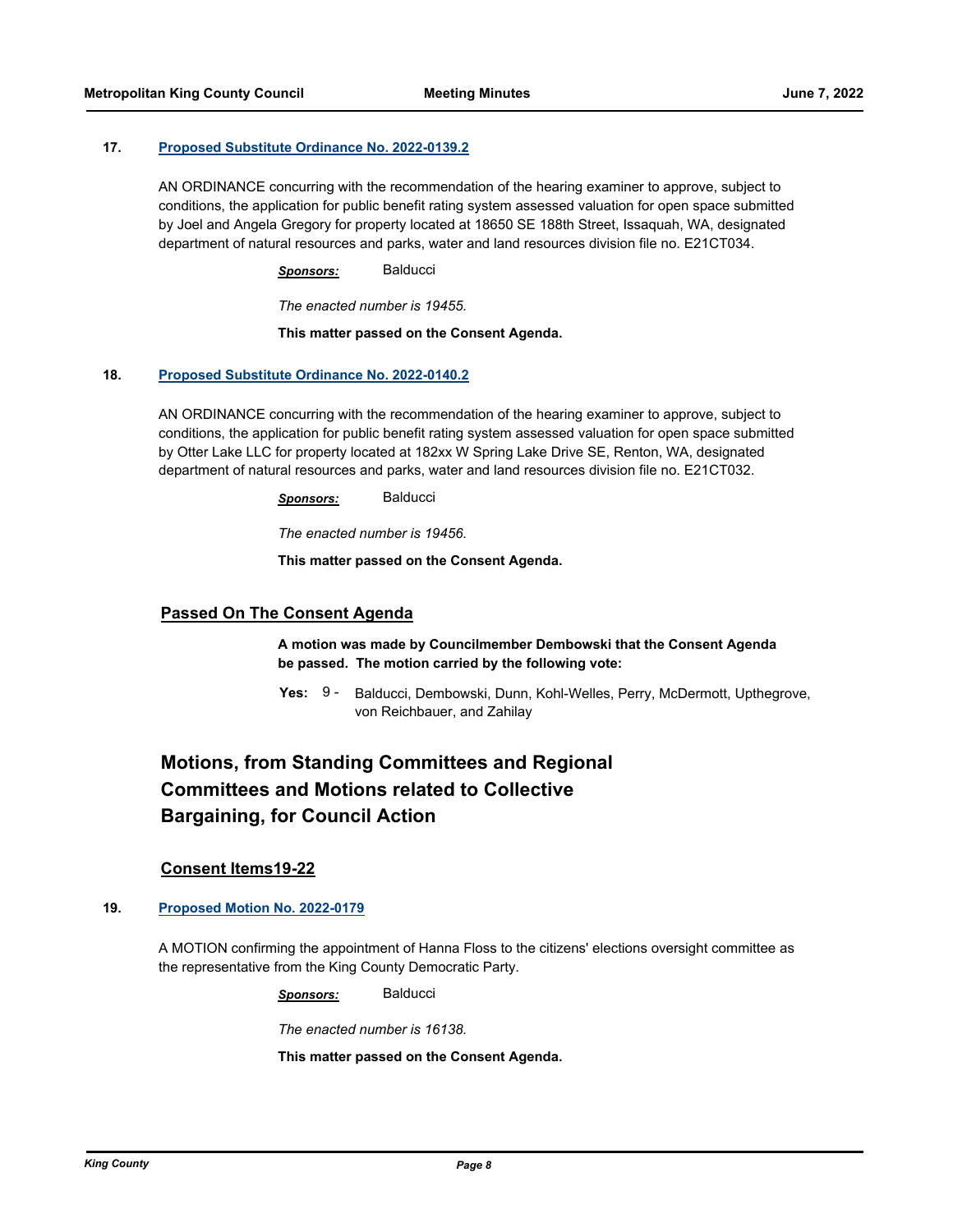### **17. [Proposed Substitute Ordinance No. 2022-0139.2](http://kingcounty.legistar.com/gateway.aspx?m=l&id=/matter.aspx?key=22988)**

AN ORDINANCE concurring with the recommendation of the hearing examiner to approve, subject to conditions, the application for public benefit rating system assessed valuation for open space submitted by Joel and Angela Gregory for property located at 18650 SE 188th Street, Issaquah, WA, designated department of natural resources and parks, water and land resources division file no. E21CT034.

*Sponsors:* Balducci

*The enacted number is 19455.*

**This matter passed on the Consent Agenda.**

#### **18. [Proposed Substitute Ordinance No. 2022-0140.2](http://kingcounty.legistar.com/gateway.aspx?m=l&id=/matter.aspx?key=22989)**

AN ORDINANCE concurring with the recommendation of the hearing examiner to approve, subject to conditions, the application for public benefit rating system assessed valuation for open space submitted by Otter Lake LLC for property located at 182xx W Spring Lake Drive SE, Renton, WA, designated department of natural resources and parks, water and land resources division file no. E21CT032.

*Sponsors:* Balducci

*The enacted number is 19456.*

**This matter passed on the Consent Agenda.**

## **Passed On The Consent Agenda**

**A motion was made by Councilmember Dembowski that the Consent Agenda be passed. The motion carried by the following vote:**

**Yes:** Balducci, Dembowski, Dunn, Kohl-Welles, Perry, McDermott, Upthegrove, von Reichbauer, and Zahilay Yes:  $9 -$ 

# **Motions, from Standing Committees and Regional Committees and Motions related to Collective Bargaining, for Council Action**

## **Consent Items19-22**

## **19. [Proposed Motion No. 2022-0179](http://kingcounty.legistar.com/gateway.aspx?m=l&id=/matter.aspx?key=23096)**

A MOTION confirming the appointment of Hanna Floss to the citizens' elections oversight committee as the representative from the King County Democratic Party.

*Sponsors:* Balducci

*The enacted number is 16138.*

**This matter passed on the Consent Agenda.**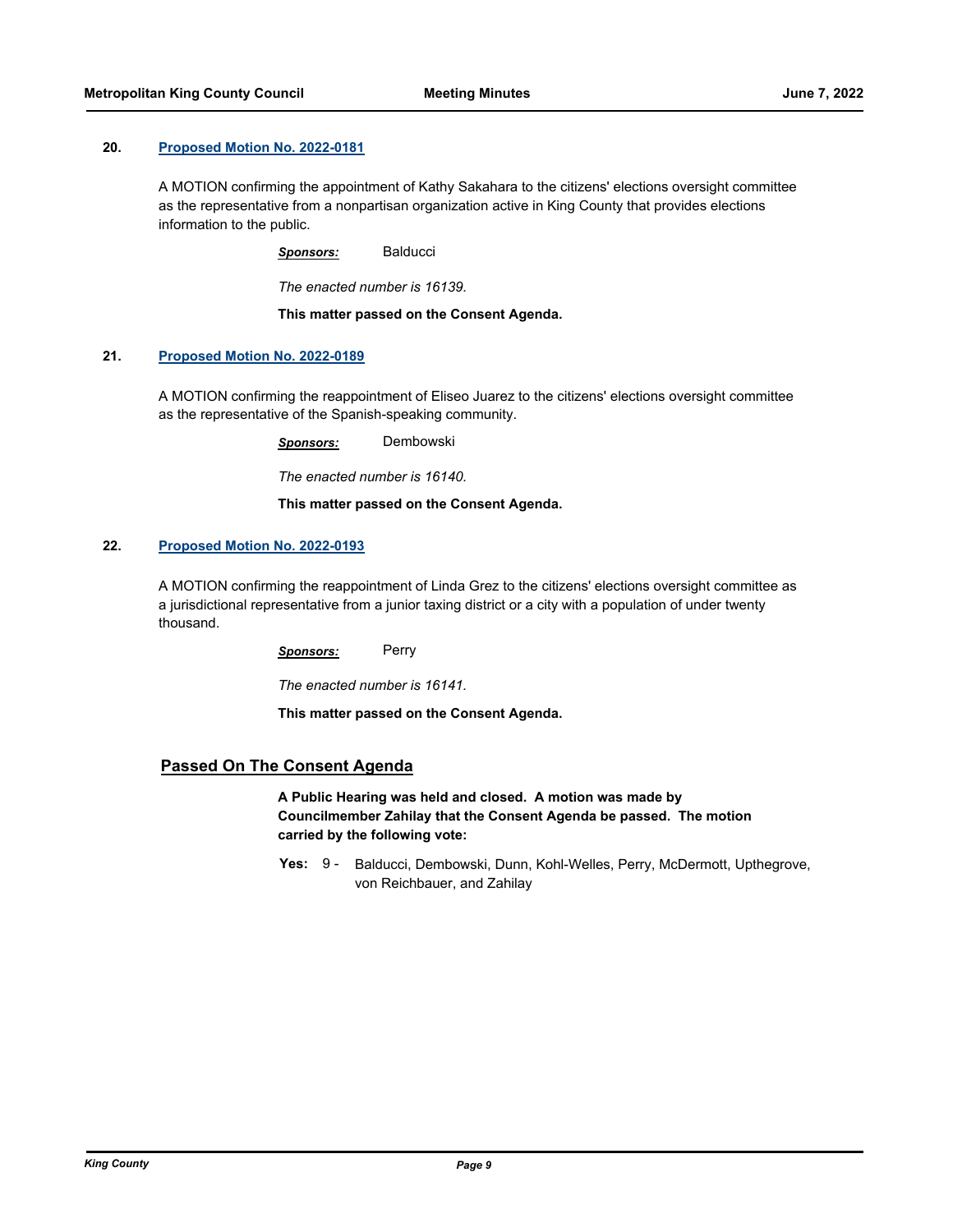### **20. [Proposed Motion No. 2022-0181](http://kingcounty.legistar.com/gateway.aspx?m=l&id=/matter.aspx?key=23099)**

A MOTION confirming the appointment of Kathy Sakahara to the citizens' elections oversight committee as the representative from a nonpartisan organization active in King County that provides elections information to the public.

*Sponsors:* Balducci

*The enacted number is 16139.*

**This matter passed on the Consent Agenda.**

## **21. [Proposed Motion No. 2022-0189](http://kingcounty.legistar.com/gateway.aspx?m=l&id=/matter.aspx?key=23107)**

A MOTION confirming the reappointment of Eliseo Juarez to the citizens' elections oversight committee as the representative of the Spanish-speaking community.

*Sponsors:* Dembowski

*The enacted number is 16140.*

**This matter passed on the Consent Agenda.**

### **22. [Proposed Motion No. 2022-0193](http://kingcounty.legistar.com/gateway.aspx?m=l&id=/matter.aspx?key=23112)**

A MOTION confirming the reappointment of Linda Grez to the citizens' elections oversight committee as a jurisdictional representative from a junior taxing district or a city with a population of under twenty thousand.

*Sponsors:* Perry

*The enacted number is 16141.*

**This matter passed on the Consent Agenda.**

## **Passed On The Consent Agenda**

**A Public Hearing was held and closed. A motion was made by Councilmember Zahilay that the Consent Agenda be passed. The motion carried by the following vote:**

Yes: 9 - Balducci, Dembowski, Dunn, Kohl-Welles, Perry, McDermott, Upthegrove, von Reichbauer, and Zahilay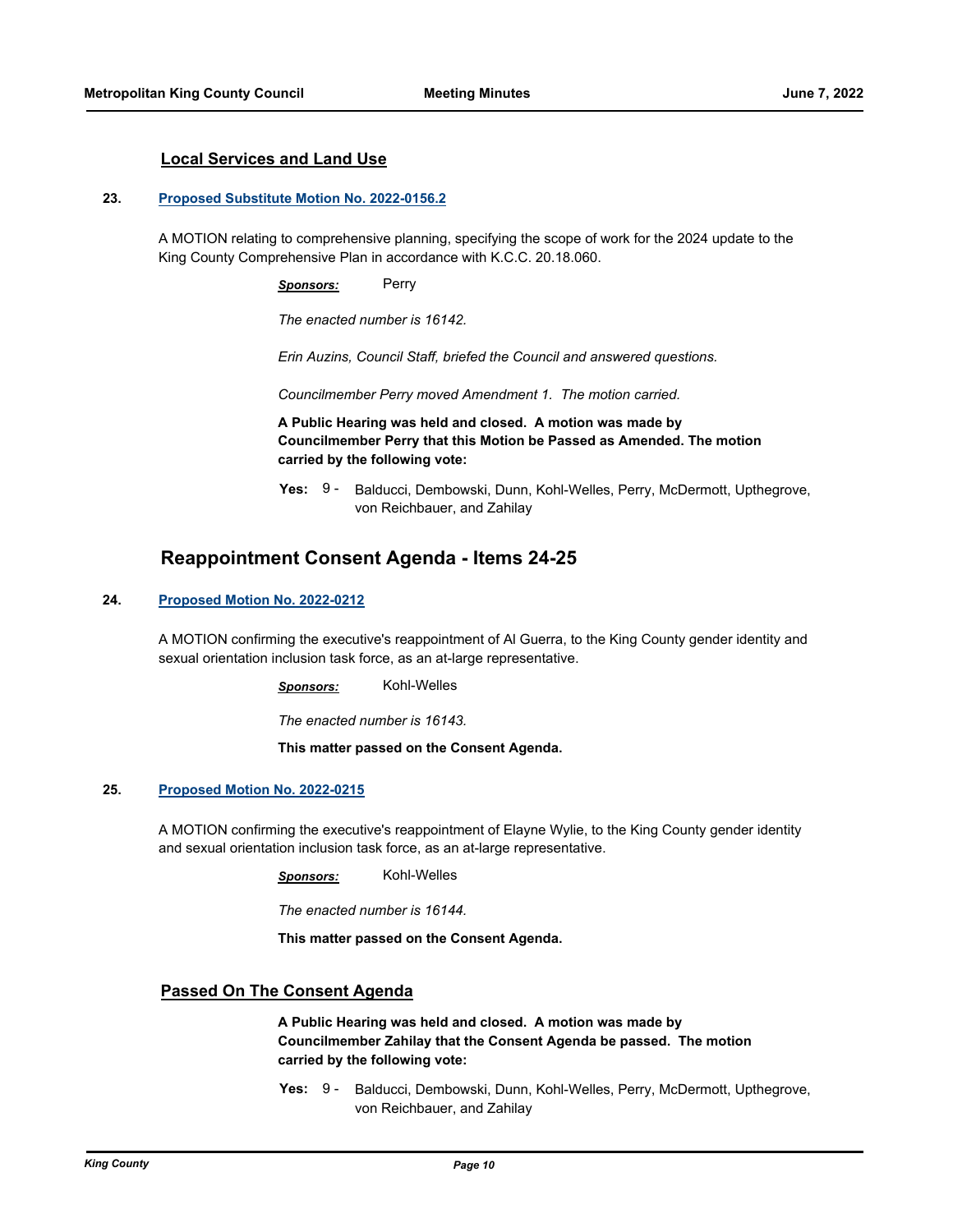## **Local Services and Land Use**

#### **23. [Proposed Substitute Motion No. 2022-0156.2](http://kingcounty.legistar.com/gateway.aspx?m=l&id=/matter.aspx?key=23027)**

A MOTION relating to comprehensive planning, specifying the scope of work for the 2024 update to the King County Comprehensive Plan in accordance with K.C.C. 20.18.060.

*Sponsors:* Perry

*The enacted number is 16142.*

*Erin Auzins, Council Staff, briefed the Council and answered questions.*

*Councilmember Perry moved Amendment 1. The motion carried.*

**A Public Hearing was held and closed. A motion was made by Councilmember Perry that this Motion be Passed as Amended. The motion carried by the following vote:**

**Yes:** Balducci, Dembowski, Dunn, Kohl-Welles, Perry, McDermott, Upthegrove, von Reichbauer, and Zahilay Yes: 9 -

# **Reappointment Consent Agenda - Items 24-25**

## **24. [Proposed Motion No. 2022-0212](http://kingcounty.legistar.com/gateway.aspx?m=l&id=/matter.aspx?key=23151)**

A MOTION confirming the executive's reappointment of Al Guerra, to the King County gender identity and sexual orientation inclusion task force, as an at-large representative.

*Sponsors:* Kohl-Welles

*The enacted number is 16143.*

**This matter passed on the Consent Agenda.**

#### **25. [Proposed Motion No. 2022-0215](http://kingcounty.legistar.com/gateway.aspx?m=l&id=/matter.aspx?key=23154)**

A MOTION confirming the executive's reappointment of Elayne Wylie, to the King County gender identity and sexual orientation inclusion task force, as an at-large representative.

*Sponsors:* Kohl-Welles

*The enacted number is 16144.*

**This matter passed on the Consent Agenda.**

## **Passed On The Consent Agenda**

**A Public Hearing was held and closed. A motion was made by Councilmember Zahilay that the Consent Agenda be passed. The motion carried by the following vote:**

**Yes:** Balducci, Dembowski, Dunn, Kohl-Welles, Perry, McDermott, Upthegrove, von Reichbauer, and Zahilay Yes: 9 -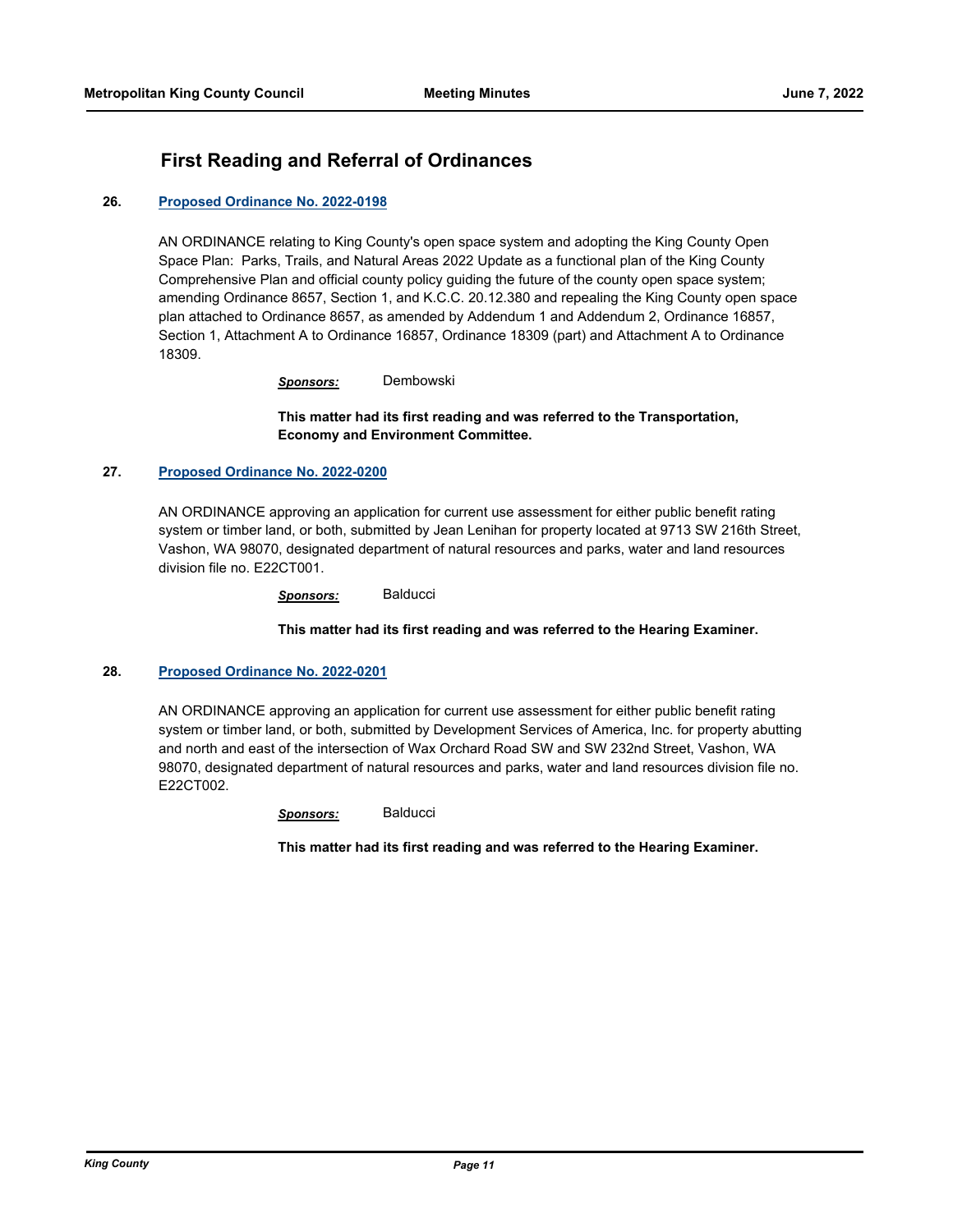# **First Reading and Referral of Ordinances**

## **26. [Proposed Ordinance No. 2022-0198](http://kingcounty.legistar.com/gateway.aspx?m=l&id=/matter.aspx?key=23124)**

AN ORDINANCE relating to King County's open space system and adopting the King County Open Space Plan: Parks, Trails, and Natural Areas 2022 Update as a functional plan of the King County Comprehensive Plan and official county policy guiding the future of the county open space system; amending Ordinance 8657, Section 1, and K.C.C. 20.12.380 and repealing the King County open space plan attached to Ordinance 8657, as amended by Addendum 1 and Addendum 2, Ordinance 16857, Section 1, Attachment A to Ordinance 16857, Ordinance 18309 (part) and Attachment A to Ordinance 18309.

*Sponsors:* Dembowski

**This matter had its first reading and was referred to the Transportation, Economy and Environment Committee.**

## **27. [Proposed Ordinance No. 2022-0200](http://kingcounty.legistar.com/gateway.aspx?m=l&id=/matter.aspx?key=23129)**

AN ORDINANCE approving an application for current use assessment for either public benefit rating system or timber land, or both, submitted by Jean Lenihan for property located at 9713 SW 216th Street, Vashon, WA 98070, designated department of natural resources and parks, water and land resources division file no. E22CT001.

*Sponsors:* Balducci

## **This matter had its first reading and was referred to the Hearing Examiner.**

## **28. [Proposed Ordinance No. 2022-0201](http://kingcounty.legistar.com/gateway.aspx?m=l&id=/matter.aspx?key=23130)**

AN ORDINANCE approving an application for current use assessment for either public benefit rating system or timber land, or both, submitted by Development Services of America, Inc. for property abutting and north and east of the intersection of Wax Orchard Road SW and SW 232nd Street, Vashon, WA 98070, designated department of natural resources and parks, water and land resources division file no. E22CT002.

*Sponsors:* Balducci

**This matter had its first reading and was referred to the Hearing Examiner.**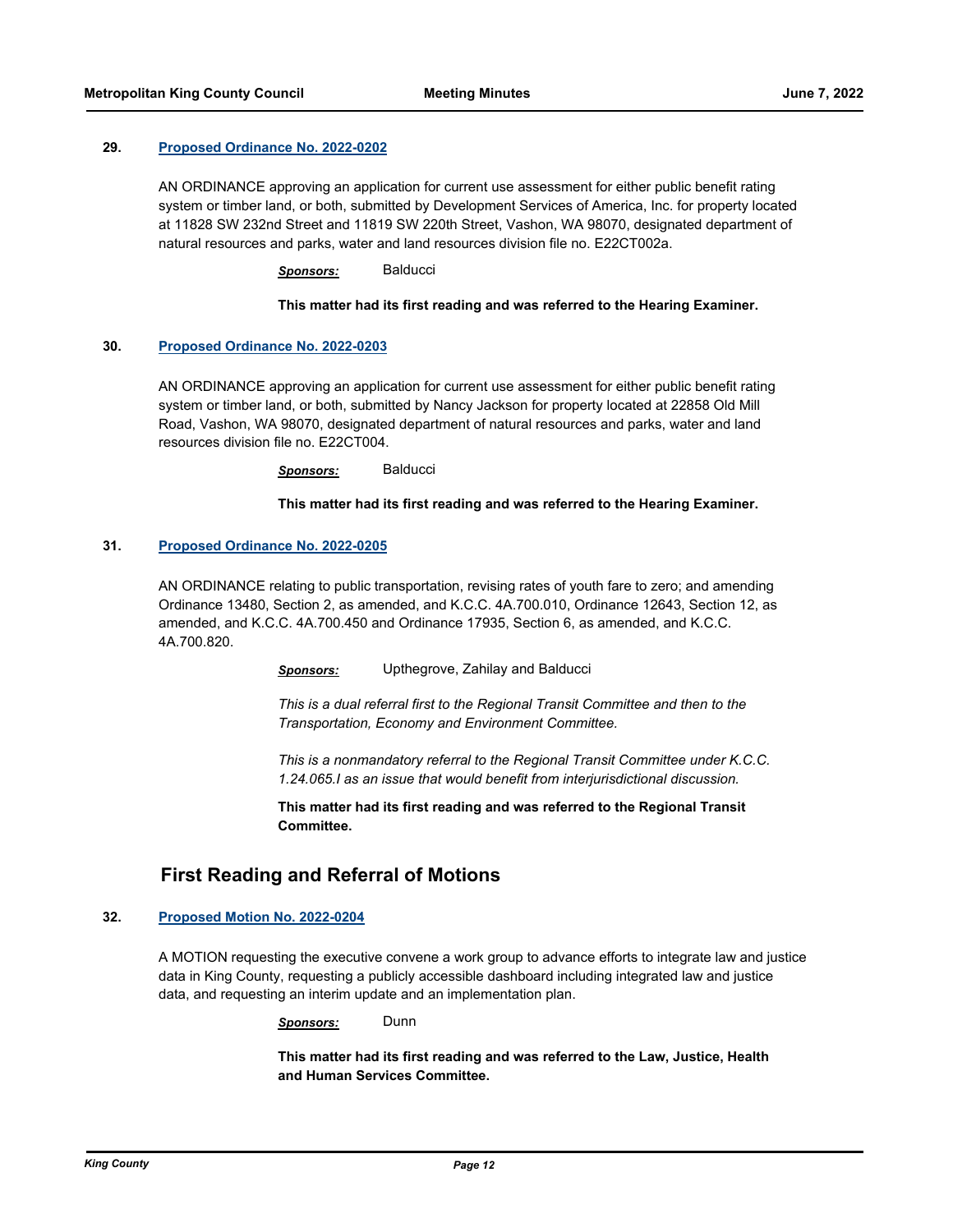#### **29. [Proposed Ordinance No. 2022-0202](http://kingcounty.legistar.com/gateway.aspx?m=l&id=/matter.aspx?key=23131)**

AN ORDINANCE approving an application for current use assessment for either public benefit rating system or timber land, or both, submitted by Development Services of America, Inc. for property located at 11828 SW 232nd Street and 11819 SW 220th Street, Vashon, WA 98070, designated department of natural resources and parks, water and land resources division file no. E22CT002a.

*Sponsors:* Balducci

### **This matter had its first reading and was referred to the Hearing Examiner.**

### **30. [Proposed Ordinance No. 2022-0203](http://kingcounty.legistar.com/gateway.aspx?m=l&id=/matter.aspx?key=23133)**

AN ORDINANCE approving an application for current use assessment for either public benefit rating system or timber land, or both, submitted by Nancy Jackson for property located at 22858 Old Mill Road, Vashon, WA 98070, designated department of natural resources and parks, water and land resources division file no. E22CT004.

*Sponsors:* Balducci

#### **This matter had its first reading and was referred to the Hearing Examiner.**

#### **31. [Proposed Ordinance No. 2022-0205](http://kingcounty.legistar.com/gateway.aspx?m=l&id=/matter.aspx?key=23144)**

AN ORDINANCE relating to public transportation, revising rates of youth fare to zero; and amending Ordinance 13480, Section 2, as amended, and K.C.C. 4A.700.010, Ordinance 12643, Section 12, as amended, and K.C.C. 4A.700.450 and Ordinance 17935, Section 6, as amended, and K.C.C. 4A.700.820.

*Sponsors:* Upthegrove, Zahilay and Balducci

*This is a dual referral first to the Regional Transit Committee and then to the Transportation, Economy and Environment Committee.*

*This is a nonmandatory referral to the Regional Transit Committee under K.C.C. 1.24.065.I as an issue that would benefit from interjurisdictional discussion.*

**This matter had its first reading and was referred to the Regional Transit Committee.**

## **First Reading and Referral of Motions**

### **32. [Proposed Motion No. 2022-0204](http://kingcounty.legistar.com/gateway.aspx?m=l&id=/matter.aspx?key=23139)**

A MOTION requesting the executive convene a work group to advance efforts to integrate law and justice data in King County, requesting a publicly accessible dashboard including integrated law and justice data, and requesting an interim update and an implementation plan.

*Sponsors:* Dunn

**This matter had its first reading and was referred to the Law, Justice, Health and Human Services Committee.**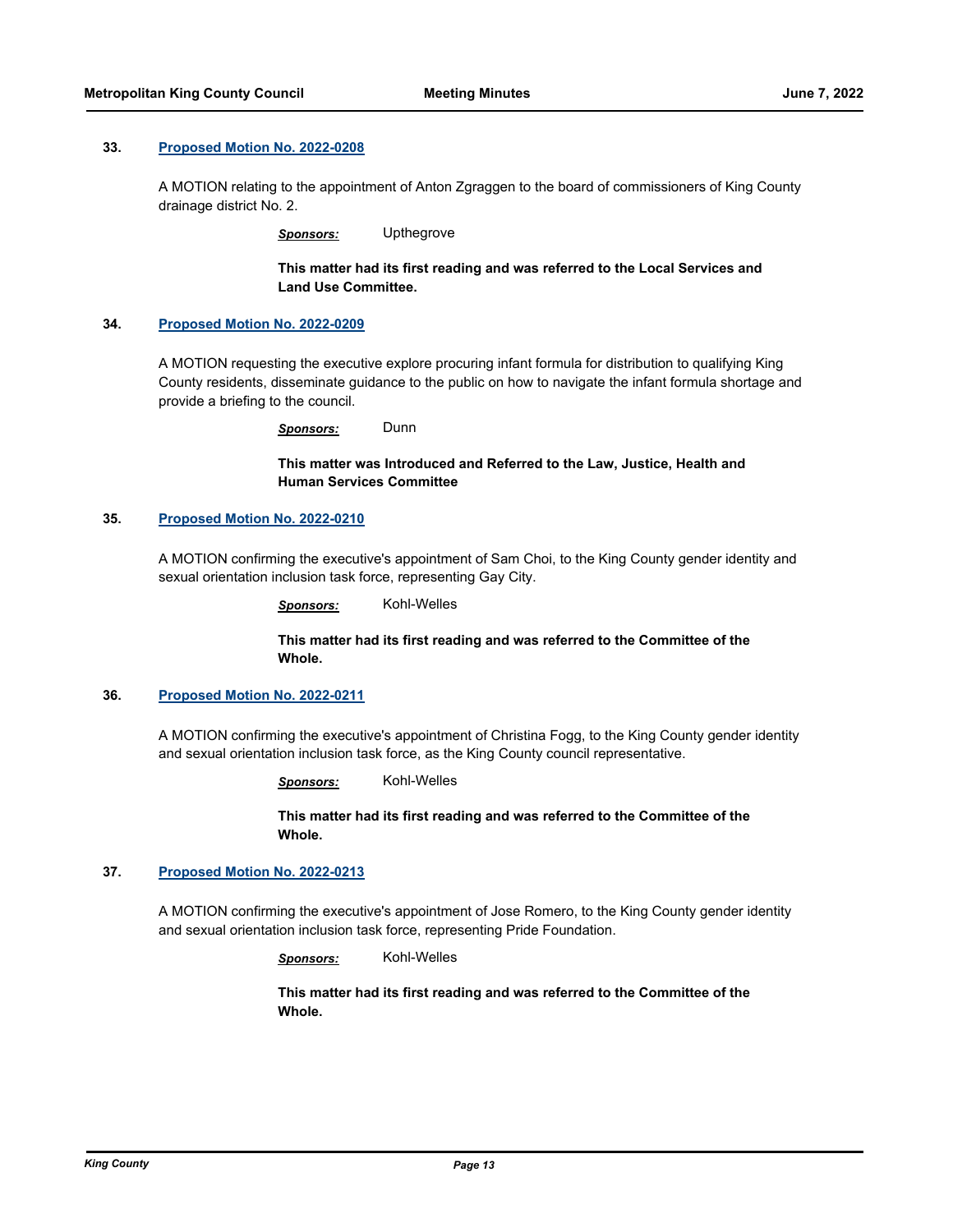#### **33. [Proposed Motion No. 2022-0208](http://kingcounty.legistar.com/gateway.aspx?m=l&id=/matter.aspx?key=23147)**

A MOTION relating to the appointment of Anton Zgraggen to the board of commissioners of King County drainage district No. 2.

*Sponsors:* Upthegrove

**This matter had its first reading and was referred to the Local Services and Land Use Committee.**

#### **34. [Proposed Motion No. 2022-0209](http://kingcounty.legistar.com/gateway.aspx?m=l&id=/matter.aspx?key=23148)**

A MOTION requesting the executive explore procuring infant formula for distribution to qualifying King County residents, disseminate guidance to the public on how to navigate the infant formula shortage and provide a briefing to the council.

*Sponsors:* Dunn

**This matter was Introduced and Referred to the Law, Justice, Health and Human Services Committee**

### **35. [Proposed Motion No. 2022-0210](http://kingcounty.legistar.com/gateway.aspx?m=l&id=/matter.aspx?key=23149)**

A MOTION confirming the executive's appointment of Sam Choi, to the King County gender identity and sexual orientation inclusion task force, representing Gay City.

*Sponsors:* Kohl-Welles

### **This matter had its first reading and was referred to the Committee of the Whole.**

#### **36. [Proposed Motion No. 2022-0211](http://kingcounty.legistar.com/gateway.aspx?m=l&id=/matter.aspx?key=23150)**

A MOTION confirming the executive's appointment of Christina Fogg, to the King County gender identity and sexual orientation inclusion task force, as the King County council representative.

*Sponsors:* Kohl-Welles

**This matter had its first reading and was referred to the Committee of the Whole.**

## **37. [Proposed Motion No. 2022-0213](http://kingcounty.legistar.com/gateway.aspx?m=l&id=/matter.aspx?key=23152)**

A MOTION confirming the executive's appointment of Jose Romero, to the King County gender identity and sexual orientation inclusion task force, representing Pride Foundation.

*Sponsors:* Kohl-Welles

**This matter had its first reading and was referred to the Committee of the Whole.**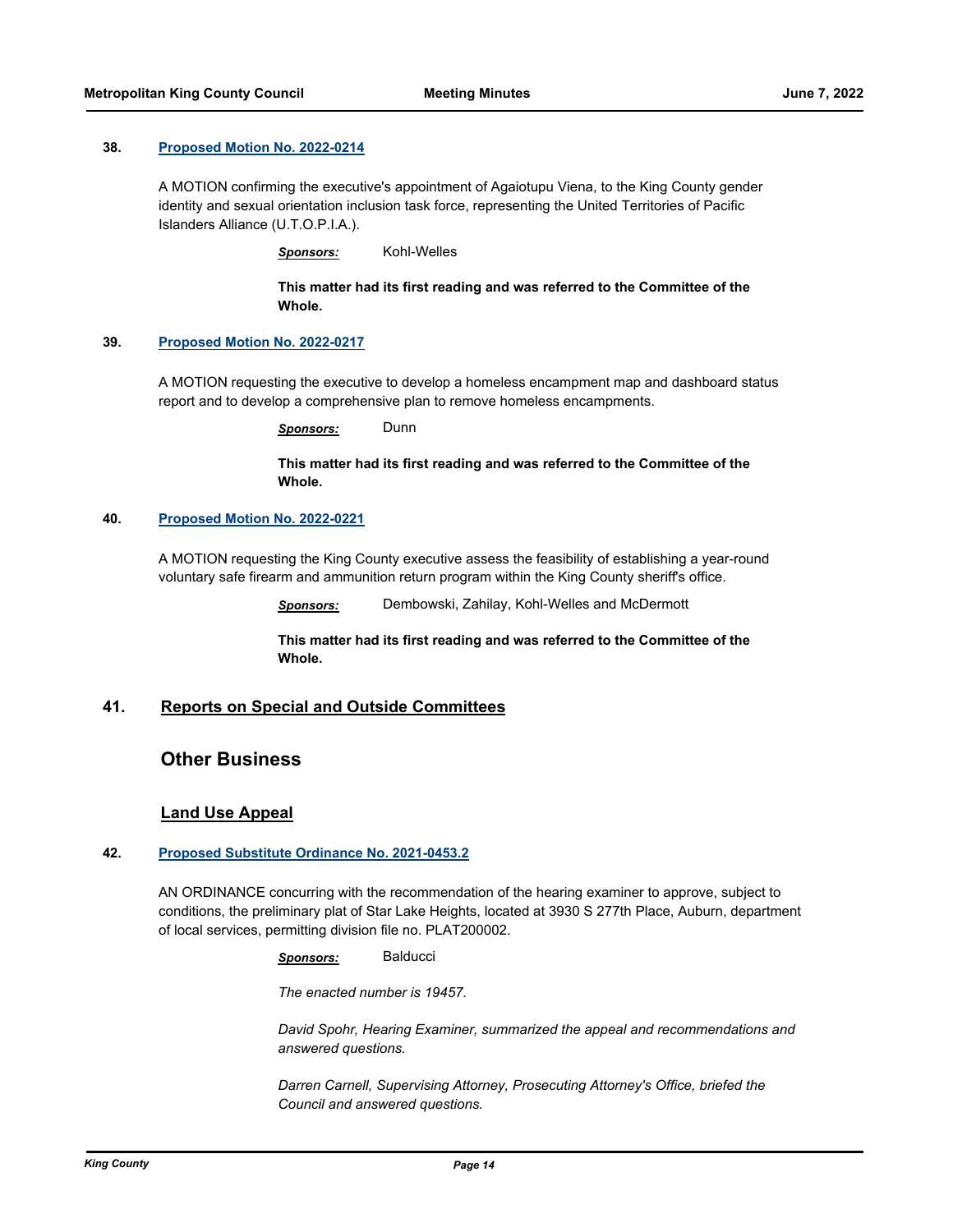#### **38. [Proposed Motion No. 2022-0214](http://kingcounty.legistar.com/gateway.aspx?m=l&id=/matter.aspx?key=23153)**

A MOTION confirming the executive's appointment of Agaiotupu Viena, to the King County gender identity and sexual orientation inclusion task force, representing the United Territories of Pacific Islanders Alliance (U.T.O.P.I.A.).

*Sponsors:* Kohl-Welles

**This matter had its first reading and was referred to the Committee of the Whole.**

## **39. [Proposed Motion No. 2022-0217](http://kingcounty.legistar.com/gateway.aspx?m=l&id=/matter.aspx?key=23165)**

A MOTION requesting the executive to develop a homeless encampment map and dashboard status report and to develop a comprehensive plan to remove homeless encampments.

*Sponsors:* Dunn

## **This matter had its first reading and was referred to the Committee of the Whole.**

### **40. [Proposed Motion No. 2022-0221](http://kingcounty.legistar.com/gateway.aspx?m=l&id=/matter.aspx?key=23172)**

A MOTION requesting the King County executive assess the feasibility of establishing a year-round voluntary safe firearm and ammunition return program within the King County sheriff's office.

*Sponsors:* Dembowski, Zahilay, Kohl-Welles and McDermott

**This matter had its first reading and was referred to the Committee of the Whole.**

### **41. Reports on Special and Outside Committees**

## **Other Business**

## **Land Use Appeal**

## **42. [Proposed Substitute Ordinance No. 2021-0453.2](http://kingcounty.legistar.com/gateway.aspx?m=l&id=/matter.aspx?key=22689)**

AN ORDINANCE concurring with the recommendation of the hearing examiner to approve, subject to conditions, the preliminary plat of Star Lake Heights, located at 3930 S 277th Place, Auburn, department of local services, permitting division file no. PLAT200002.

*Sponsors:* Balducci

*The enacted number is 19457.*

*David Spohr, Hearing Examiner, summarized the appeal and recommendations and answered questions.*

*Darren Carnell, Supervising Attorney, Prosecuting Attorney's Office, briefed the Council and answered questions.*